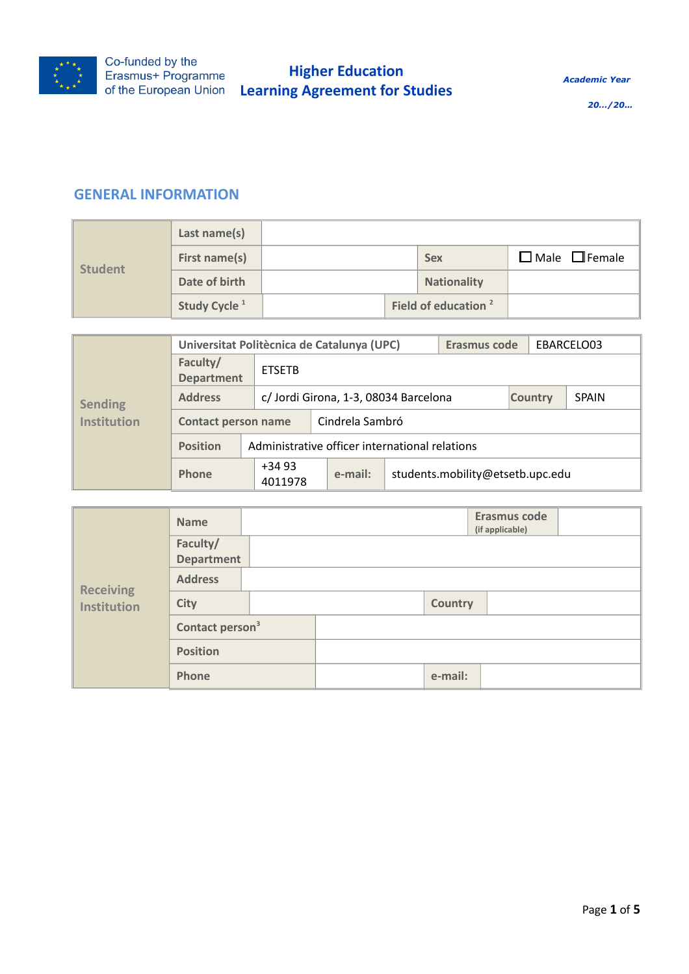

## **GENERAL INFORMATION**

| <b>Student</b> | Last name(s)             |  |  |                                 |                           |
|----------------|--------------------------|--|--|---------------------------------|---------------------------|
|                | First name(s)            |  |  | <b>Sex</b>                      | $\Box$ Male $\Box$ Female |
|                | Date of birth            |  |  | <b>Nationality</b>              |                           |
|                | Study Cycle <sup>1</sup> |  |  | Field of education <sup>2</sup> |                           |

|                                                                           | Universitat Politècnica de Catalunya (UPC) |                            |                                                |  | Erasmus code    |              |  | EBARCELO03 |  |
|---------------------------------------------------------------------------|--------------------------------------------|----------------------------|------------------------------------------------|--|-----------------|--------------|--|------------|--|
|                                                                           | Faculty/<br><b>Department</b>              | <b>ETSETB</b>              |                                                |  |                 |              |  |            |  |
| <b>Address</b><br>c/ Jordi Girona, 1-3, 08034 Barcelona<br><b>Sending</b> |                                            |                            |                                                |  | <b>Country</b>  | <b>SPAIN</b> |  |            |  |
| <b>Institution</b>                                                        |                                            | <b>Contact person name</b> |                                                |  | Cindrela Sambró |              |  |            |  |
|                                                                           | <b>Position</b>                            |                            | Administrative officer international relations |  |                 |              |  |            |  |
|                                                                           | <b>Phone</b>                               | $+3493$<br>4011978         | students.mobility@etsetb.upc.edu<br>e-mail:    |  |                 |              |  |            |  |

| <b>Receiving</b><br><b>Institution</b> | <b>Name</b>                   |  |  |                | Erasmus code<br>(if applicable) |  |
|----------------------------------------|-------------------------------|--|--|----------------|---------------------------------|--|
|                                        | Faculty/<br><b>Department</b> |  |  |                |                                 |  |
|                                        | <b>Address</b>                |  |  |                |                                 |  |
|                                        | <b>City</b>                   |  |  | <b>Country</b> |                                 |  |
|                                        | Contact person <sup>3</sup>   |  |  |                |                                 |  |
|                                        | <b>Position</b>               |  |  |                |                                 |  |
|                                        | Phone                         |  |  | e-mail:        |                                 |  |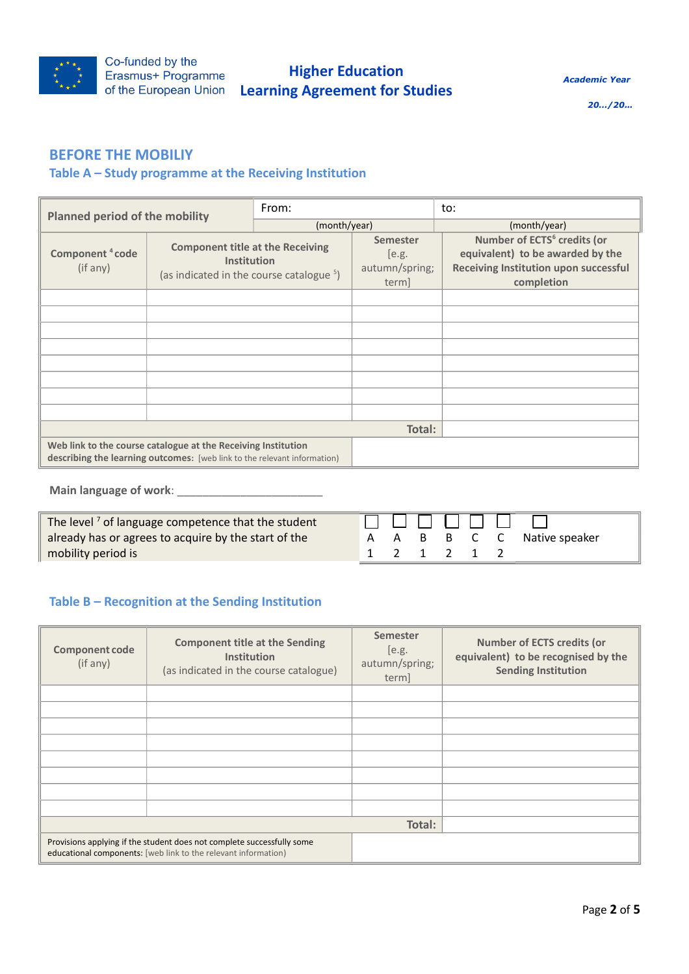

*Academic Year* 

*20…/20…*

## **BEFORE THE MOBILIY**

## **Table A – Study programme at the Receiving Institution**

| <b>Planned period of the mobility</b>   |                                                                                                                                           | From:        |                                                     | to:                                                                                                                                |  |
|-----------------------------------------|-------------------------------------------------------------------------------------------------------------------------------------------|--------------|-----------------------------------------------------|------------------------------------------------------------------------------------------------------------------------------------|--|
|                                         |                                                                                                                                           | (month/year) |                                                     | (month/year)                                                                                                                       |  |
| Component <sup>4</sup> code<br>(if any) | <b>Component title at the Receiving</b><br><b>Institution</b><br>(as indicated in the course catalogue <sup>5</sup> )                     |              | <b>Semester</b><br>[e.g.<br>autumn/spring;<br>term] | Number of ECTS <sup>6</sup> credits (or<br>equivalent) to be awarded by the<br>Receiving Institution upon successful<br>completion |  |
|                                         |                                                                                                                                           |              |                                                     |                                                                                                                                    |  |
|                                         |                                                                                                                                           |              |                                                     |                                                                                                                                    |  |
|                                         |                                                                                                                                           |              |                                                     |                                                                                                                                    |  |
|                                         |                                                                                                                                           |              |                                                     |                                                                                                                                    |  |
|                                         |                                                                                                                                           |              |                                                     |                                                                                                                                    |  |
|                                         |                                                                                                                                           |              |                                                     |                                                                                                                                    |  |
|                                         |                                                                                                                                           |              |                                                     |                                                                                                                                    |  |
|                                         |                                                                                                                                           |              |                                                     |                                                                                                                                    |  |
|                                         |                                                                                                                                           |              | Total:                                              |                                                                                                                                    |  |
|                                         | Web link to the course catalogue at the Receiving Institution<br>describing the learning outcomes: [web link to the relevant information] |              |                                                     |                                                                                                                                    |  |

**Main language of work**: \_\_\_\_\_\_\_\_\_\_\_\_\_\_\_\_\_\_\_\_\_\_\_

The level<sup>7</sup> of language competence that the student  $\mathbf{L}$  $\mathcal{L}^{\mathcal{A}}$  $\mathbf{I}$ already has or agrees to acquire by the start of the B B C A A C Native speaker mobility period is 1 2 1 2 1 2

### **Table B – Recognition at the Sending Institution**

| <b>Component code</b><br>(if any) | <b>Component title at the Sending</b><br>Institution<br>(as indicated in the course catalogue)                                           | <b>Semester</b><br>[e.g.<br>autumn/spring;<br>term | <b>Number of ECTS credits (or</b><br>equivalent) to be recognised by the<br><b>Sending Institution</b> |
|-----------------------------------|------------------------------------------------------------------------------------------------------------------------------------------|----------------------------------------------------|--------------------------------------------------------------------------------------------------------|
|                                   |                                                                                                                                          |                                                    |                                                                                                        |
|                                   |                                                                                                                                          |                                                    |                                                                                                        |
|                                   |                                                                                                                                          |                                                    |                                                                                                        |
|                                   |                                                                                                                                          |                                                    |                                                                                                        |
|                                   |                                                                                                                                          |                                                    |                                                                                                        |
|                                   |                                                                                                                                          |                                                    |                                                                                                        |
|                                   |                                                                                                                                          |                                                    |                                                                                                        |
|                                   |                                                                                                                                          |                                                    |                                                                                                        |
|                                   |                                                                                                                                          | Total:                                             |                                                                                                        |
|                                   | Provisions applying if the student does not complete successfully some<br>educational components: [web link to the relevant information] |                                                    |                                                                                                        |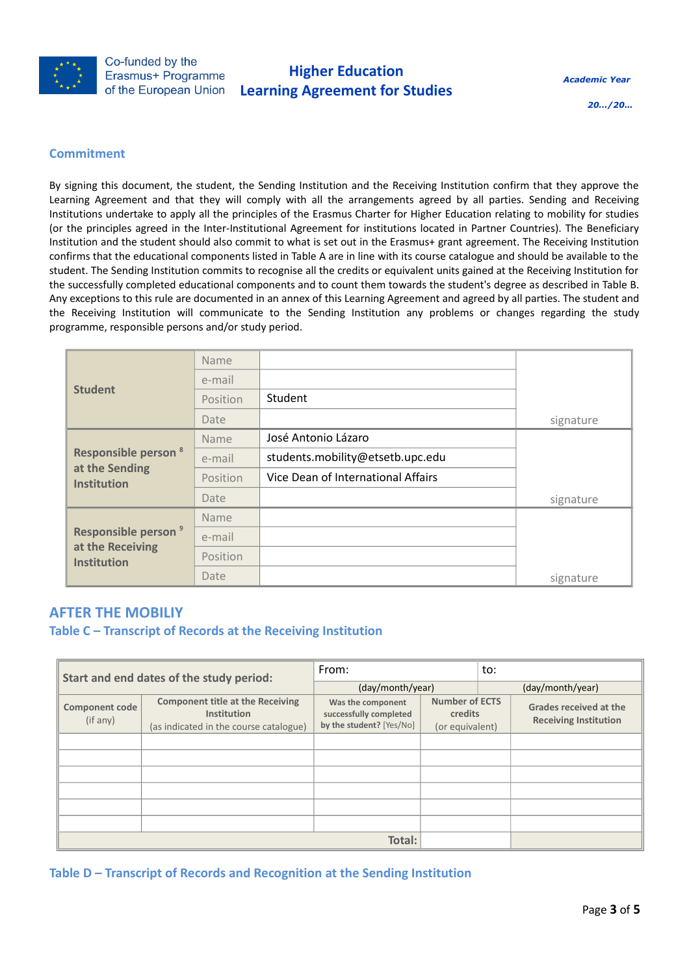

*20…/20…*

#### **Commitment**

By signing this document, the student, the Sending Institution and the Receiving Institution confirm that they approve the Learning Agreement and that they will comply with all the arrangements agreed by all parties. Sending and Receiving Institutions undertake to apply all the principles of the Erasmus Charter for Higher Education relating to mobility for studies (or the principles agreed in the Inter-Institutional Agreement for institutions located in Partner Countries). The Beneficiary Institution and the student should also commit to what is set out in the Erasmus+ grant agreement. The Receiving Institution confirms that the educational components listed in Table A are in line with its course catalogue and should be available to the student. The Sending Institution commits to recognise all the credits or equivalent units gained at the Receiving Institution for the successfully completed educational components and to count them towards the student's degree as described in Table B. Any exceptions to this rule are documented in an annex of this Learning Agreement and agreed by all parties. The student and the Receiving Institution will communicate to the Sending Institution any problems or changes regarding the study programme, responsible persons and/or study period.

|                                                                               | Name        |                                    |           |
|-------------------------------------------------------------------------------|-------------|------------------------------------|-----------|
|                                                                               | e-mail      |                                    |           |
| <b>Student</b>                                                                | Position    | Student                            |           |
|                                                                               | Date        |                                    | signature |
|                                                                               | <b>Name</b> | José Antonio Lázaro                |           |
| <b>Responsible person<sup>8</sup></b><br>at the Sending<br><b>Institution</b> | e-mail      | students.mobility@etsetb.upc.edu   |           |
|                                                                               | Position    | Vice Dean of International Affairs |           |
|                                                                               | Date        |                                    | signature |
|                                                                               | Name        |                                    |           |
| Responsible person <sup>9</sup><br>at the Receiving<br><b>Institution</b>     | e-mail      |                                    |           |
|                                                                               | Position    |                                    |           |
|                                                                               | Date        |                                    | signature |

## **AFTER THE MOBILIY**

#### **Table C – Transcript of Records at the Receiving Institution**

| Start and end dates of the study period: |                                                                                                  | From:                                                                   |                                                     | to:              |                                                               |
|------------------------------------------|--------------------------------------------------------------------------------------------------|-------------------------------------------------------------------------|-----------------------------------------------------|------------------|---------------------------------------------------------------|
|                                          |                                                                                                  | (day/month/year)                                                        |                                                     | (day/month/year) |                                                               |
| <b>Component code</b><br>(if any)        | <b>Component title at the Receiving</b><br>Institution<br>(as indicated in the course catalogue) | Was the component<br>successfully completed<br>by the student? [Yes/No] | <b>Number of ECTS</b><br>credits<br>(or equivalent) |                  | <b>Grades received at the</b><br><b>Receiving Institution</b> |
|                                          |                                                                                                  |                                                                         |                                                     |                  |                                                               |
|                                          |                                                                                                  |                                                                         |                                                     |                  |                                                               |
|                                          |                                                                                                  |                                                                         |                                                     |                  |                                                               |
|                                          |                                                                                                  |                                                                         |                                                     |                  |                                                               |
|                                          |                                                                                                  |                                                                         |                                                     |                  |                                                               |
|                                          |                                                                                                  |                                                                         |                                                     |                  |                                                               |
|                                          | Total:                                                                                           |                                                                         |                                                     |                  |                                                               |

**Table D – Transcript of Records and Recognition at the Sending Institution**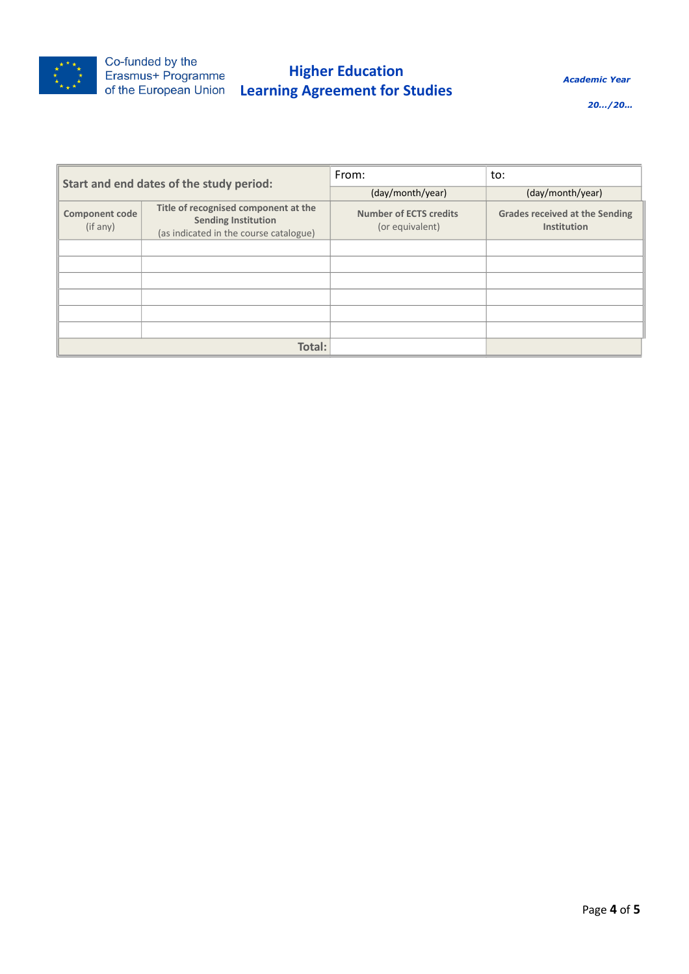

# **Higher Education Learning Agreement for Studies**

*Academic Year* 

*20…/20…*

| Start and end dates of the study period: |                                                                                                              | From:                                            | to:                                                  |
|------------------------------------------|--------------------------------------------------------------------------------------------------------------|--------------------------------------------------|------------------------------------------------------|
|                                          |                                                                                                              | (day/month/year)                                 | (day/month/year)                                     |
| <b>Component code</b><br>(if any)        | Title of recognised component at the<br><b>Sending Institution</b><br>(as indicated in the course catalogue) | <b>Number of ECTS credits</b><br>(or equivalent) | <b>Grades received at the Sending</b><br>Institution |
|                                          |                                                                                                              |                                                  |                                                      |
|                                          |                                                                                                              |                                                  |                                                      |
|                                          |                                                                                                              |                                                  |                                                      |
|                                          |                                                                                                              |                                                  |                                                      |
|                                          |                                                                                                              |                                                  |                                                      |
|                                          |                                                                                                              |                                                  |                                                      |
|                                          | Total:                                                                                                       |                                                  |                                                      |